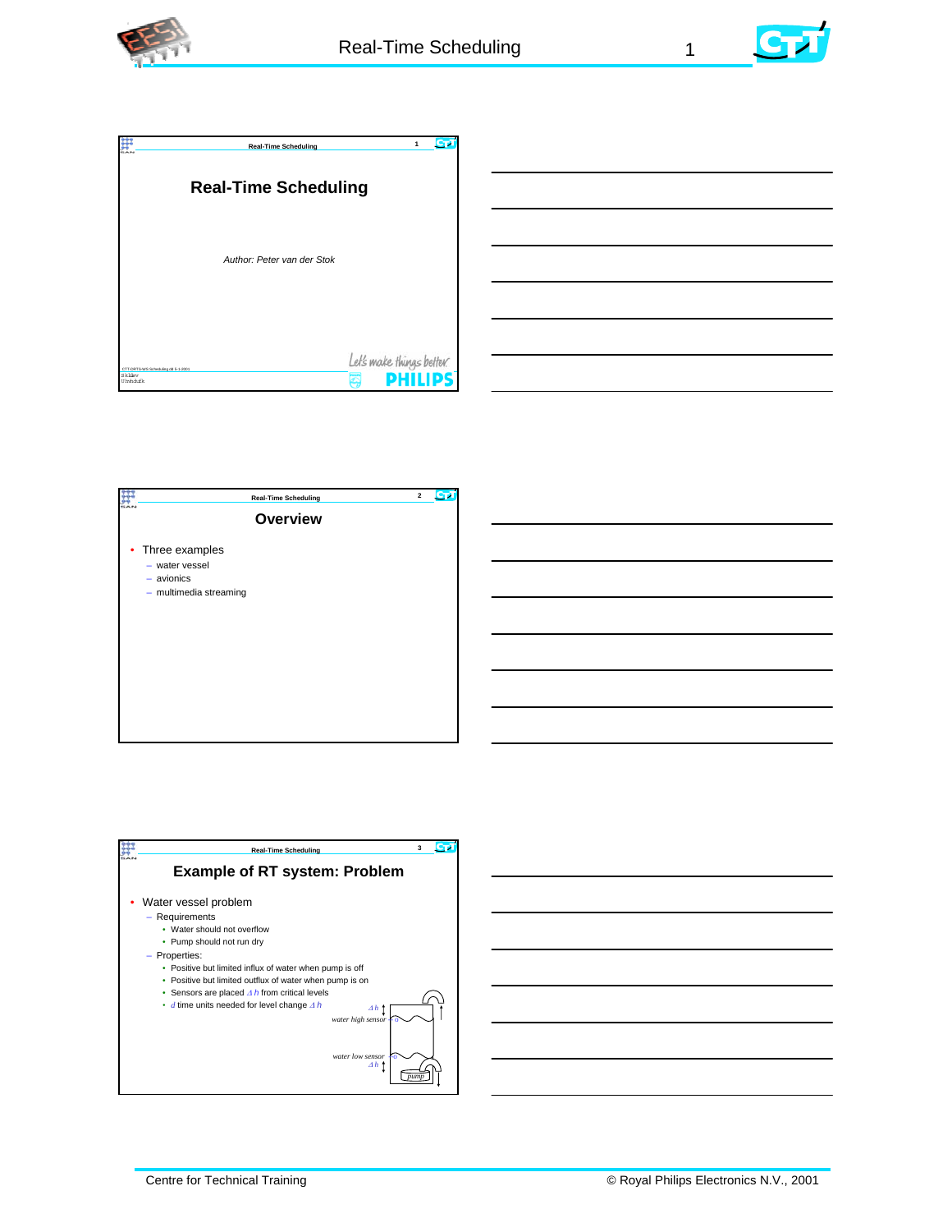



|                                                                  | <b>Real-Time Scheduling</b> | 1<br>c                    |
|------------------------------------------------------------------|-----------------------------|---------------------------|
| <b>Real-Time Scheduling</b>                                      |                             |                           |
|                                                                  | Author: Peter van der Stok  |                           |
|                                                                  |                             | Let's make things better. |
| CTT-DRTS-WS Scheduling dd 5-1-2001<br>SkWay<br><b>Uhyhchific</b> |                             | D                         |





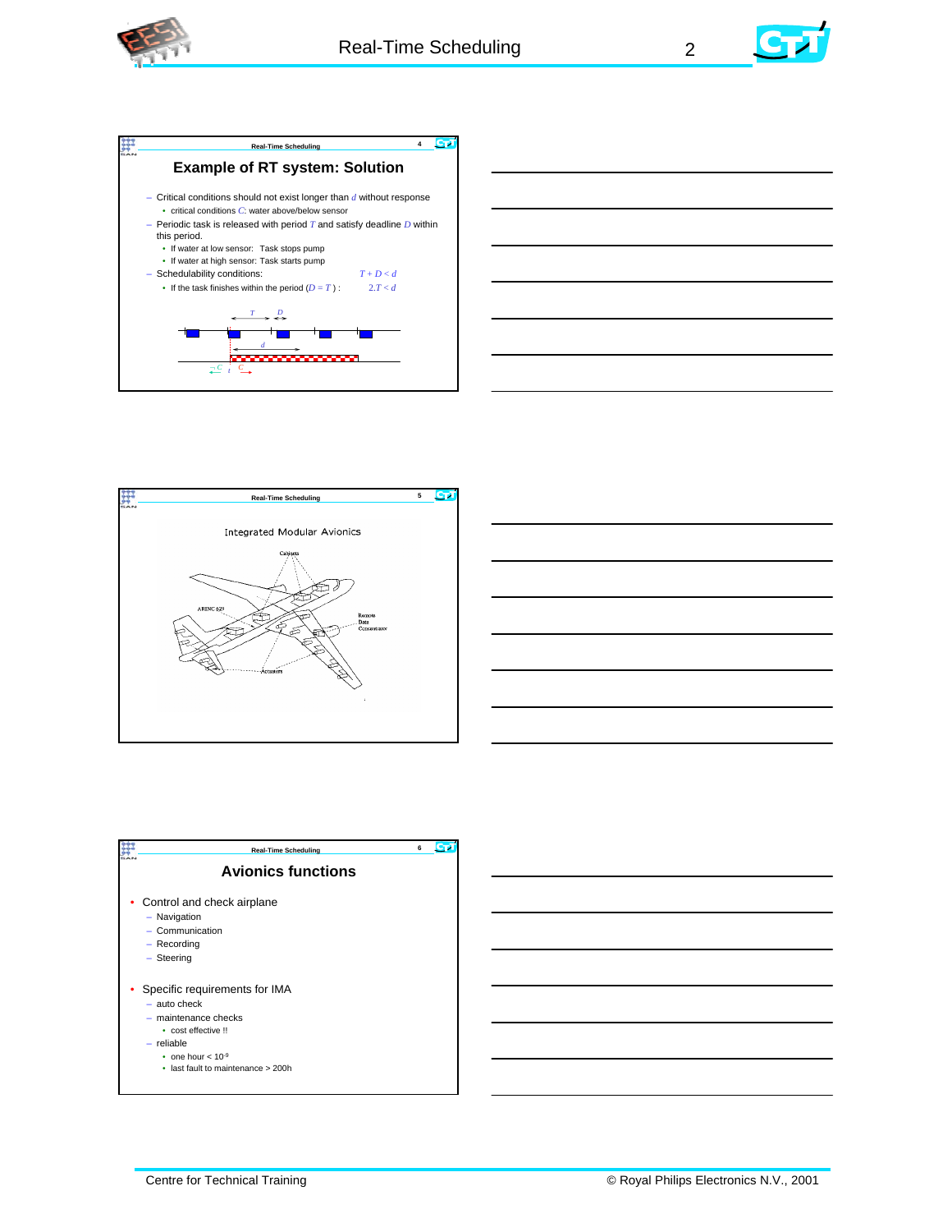











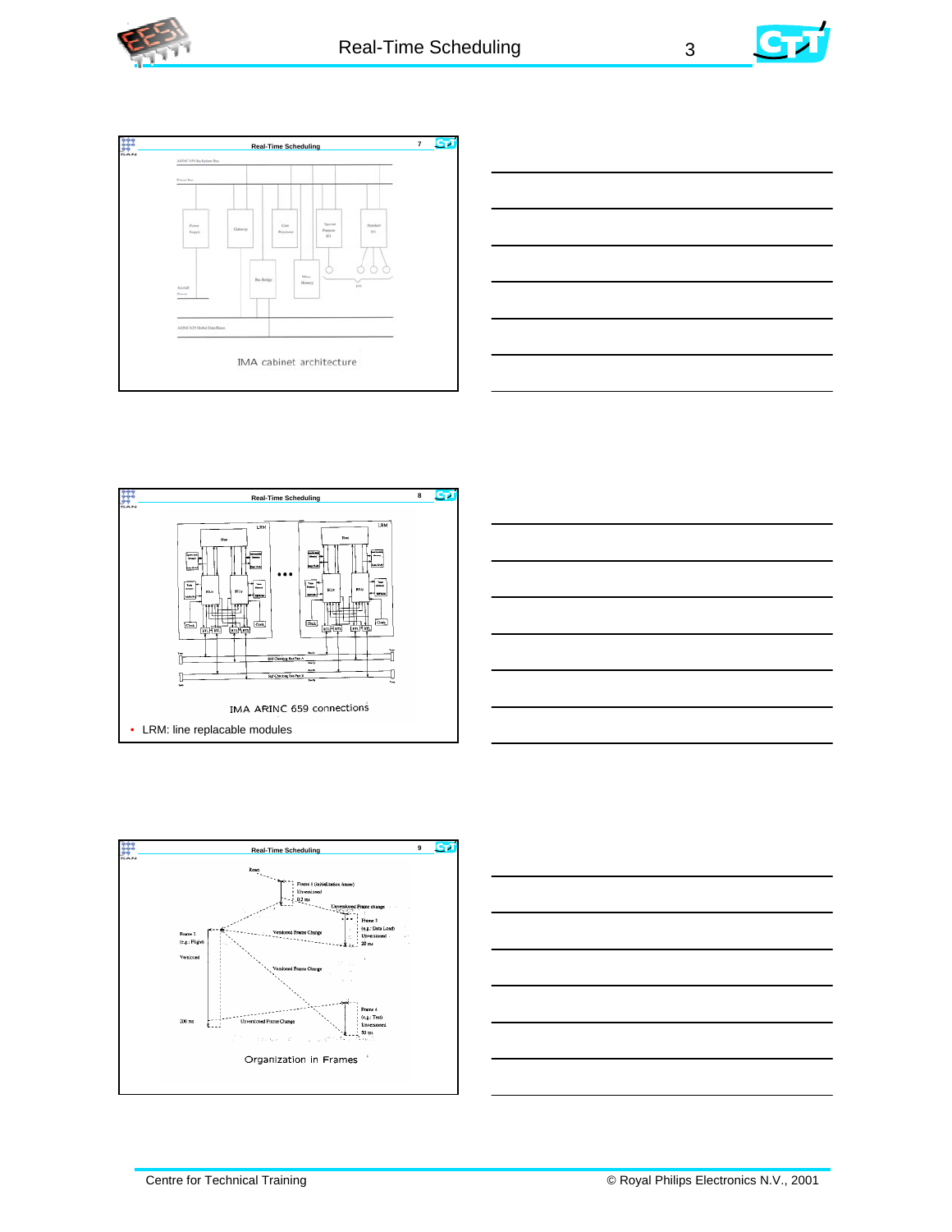











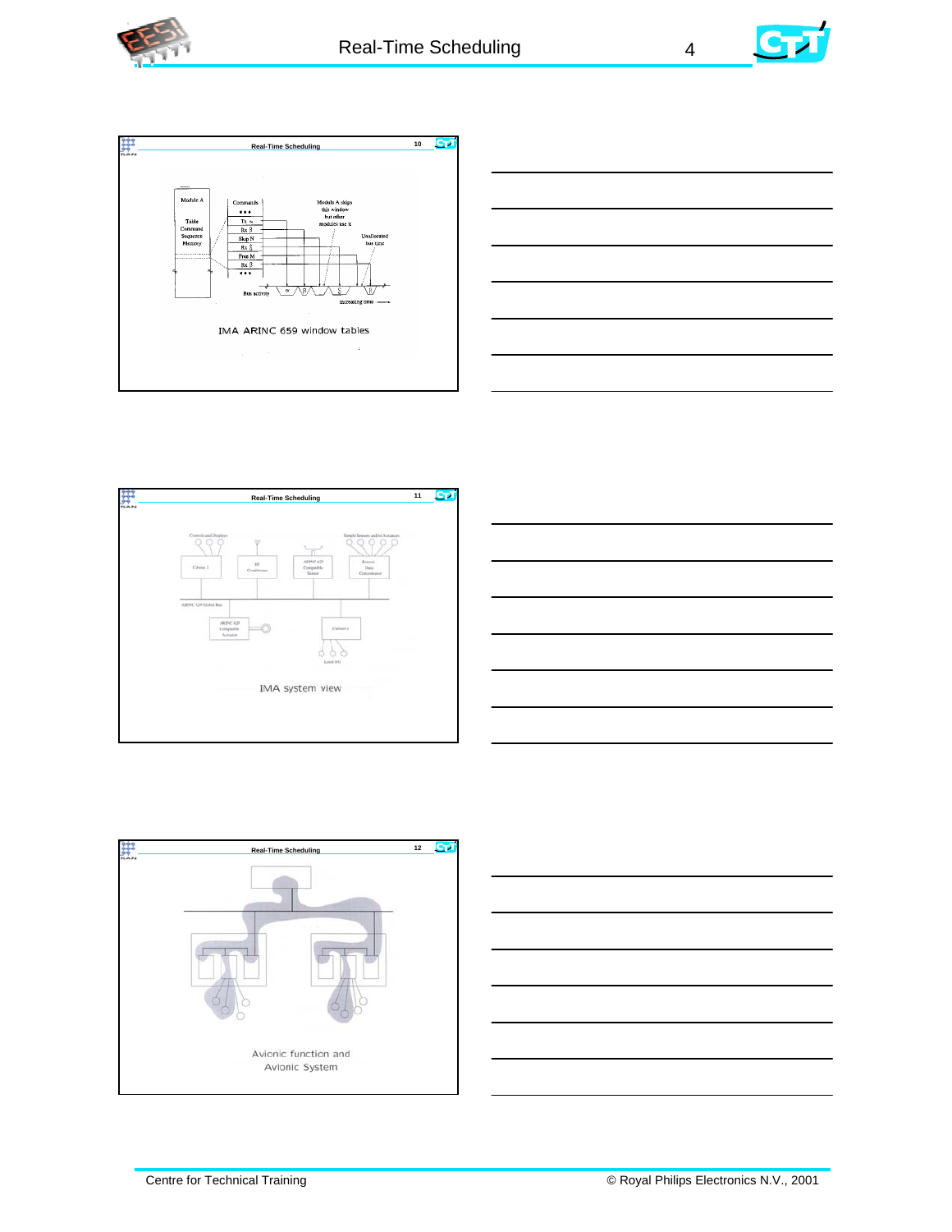













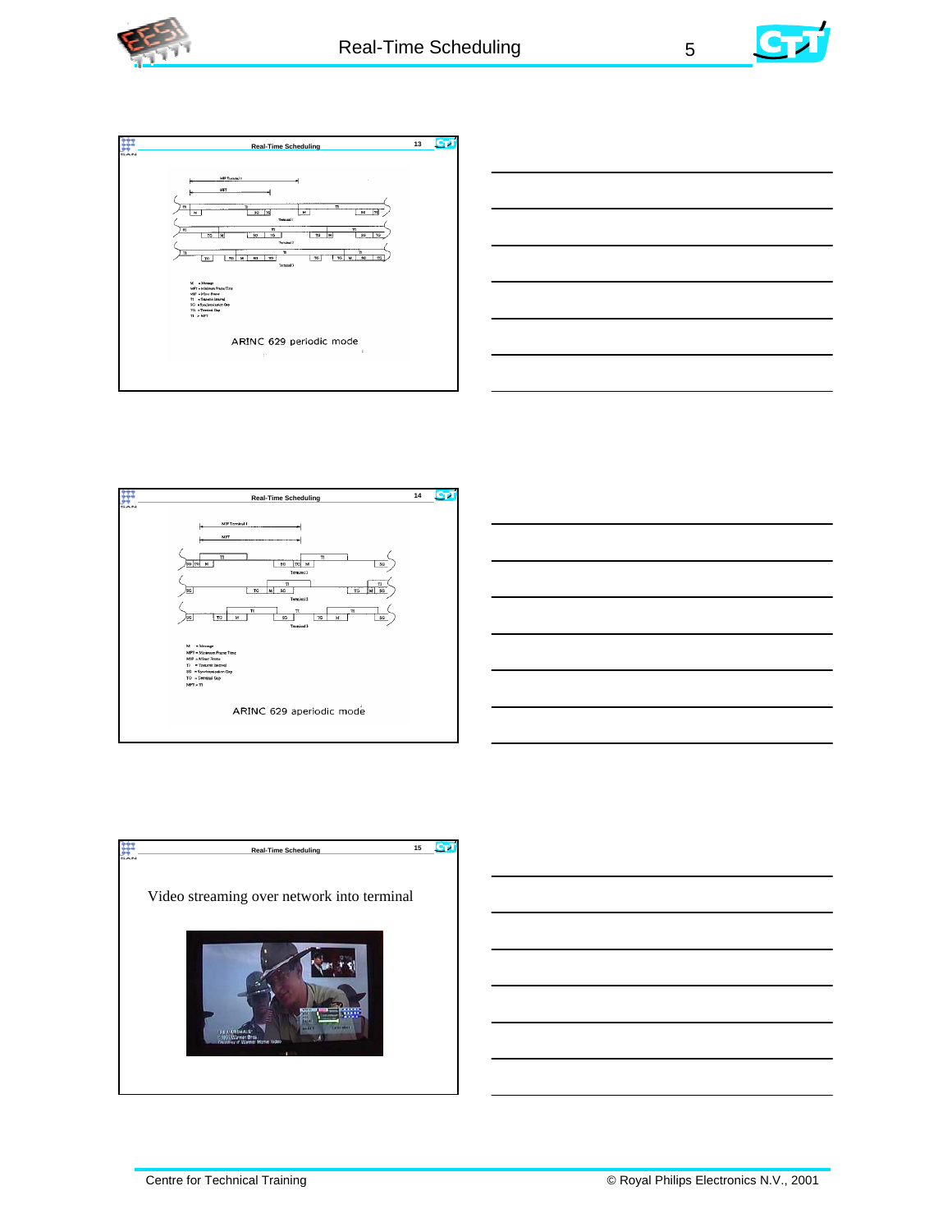











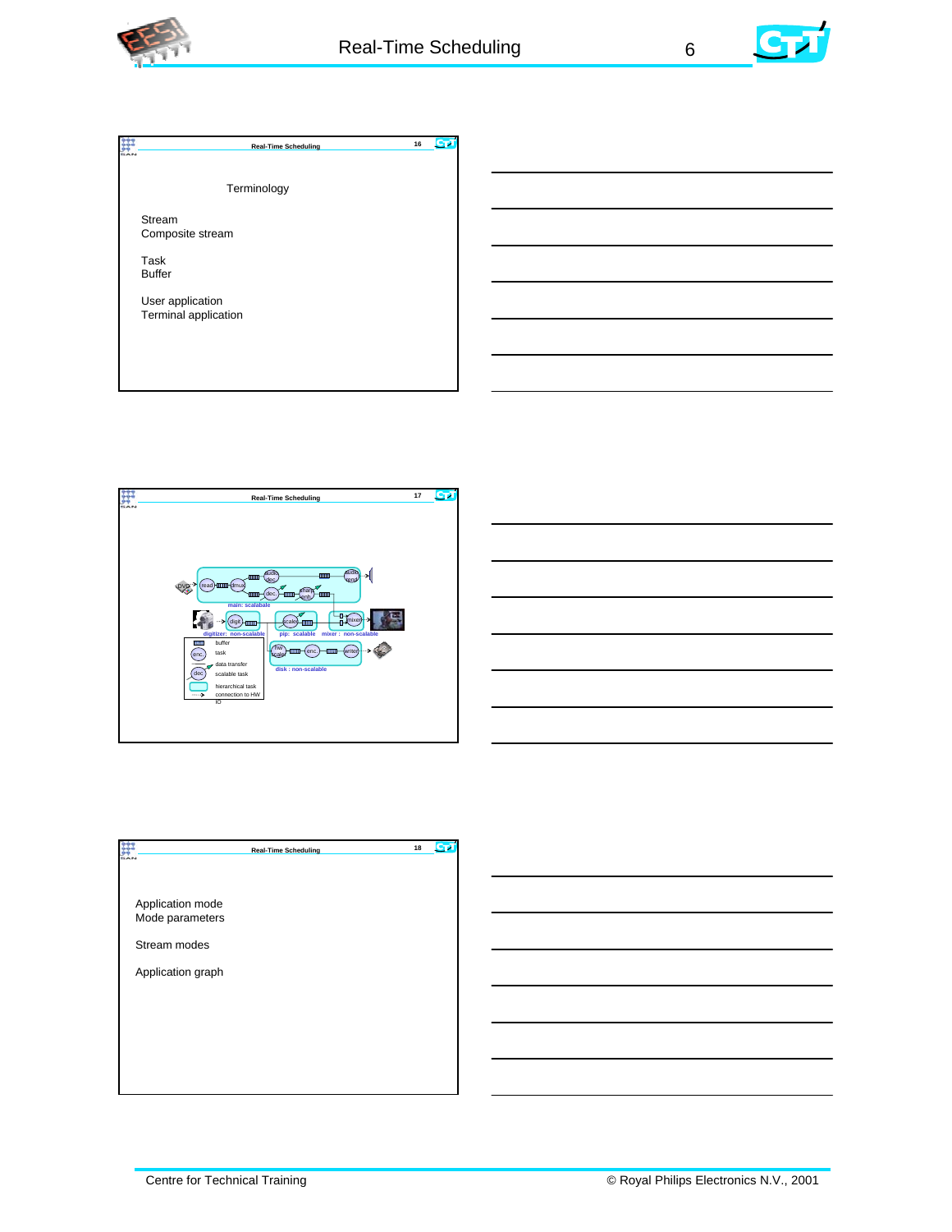









|                                     | <b>Real-Time Scheduling</b> | 18 |
|-------------------------------------|-----------------------------|----|
| Application mode<br>Mode parameters |                             |    |
| Stream modes<br>Application graph   |                             |    |
|                                     |                             |    |
|                                     |                             |    |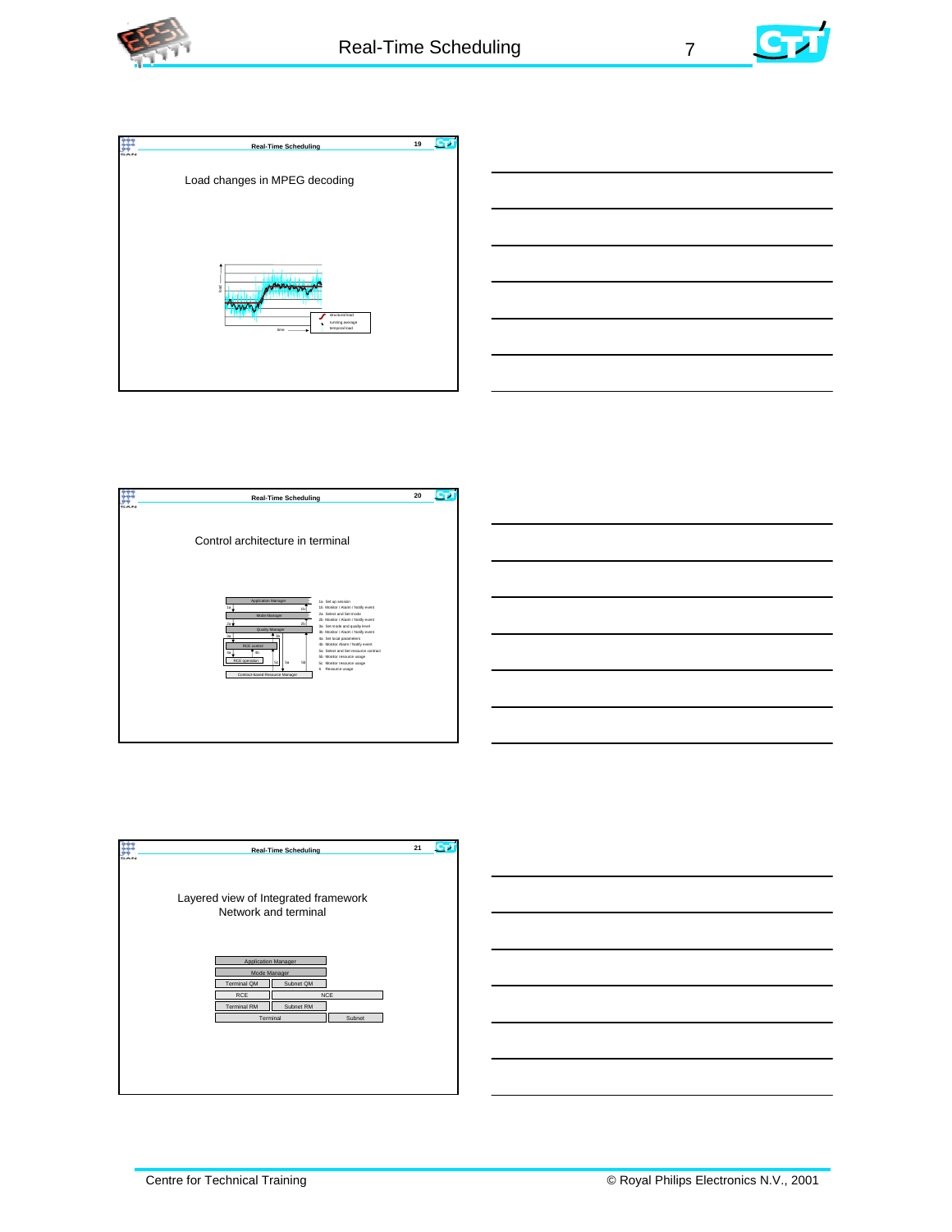